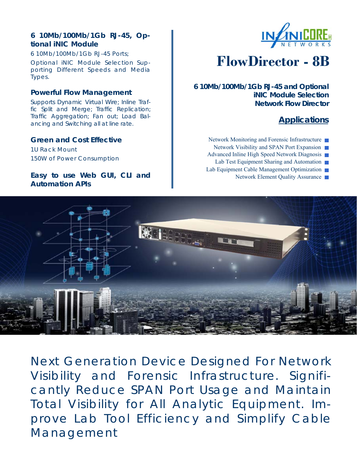# **6 10Mb/100Mb/1Gb RJ-45, Optional iNIC Module**

6 10Mb/100Mb/1Gb RJ-45 Ports; Optional iNIC Module Selection Supporting Different Speeds and Media Types.

### **Powerful Flow Management**

Supports Dynamic Virtual Wire; Inline Traffic Split and Merge; Traffic Replication; Traffic Aggregation; Fan out; Load Balancing and Switching all at line rate.

#### **Green and Cost Effective**

1U Rack Mount 150W of Power Consumption

### **Easy to use Web GUI, CLI and Automation APIs**



# **FlowDirector - 8B**

**6 10Mb/100Mb/1Gb RJ-45 and Optional iNIC Module Selection Network Flow Director** 

# **Applications**

- Network Monitoring and Forensic Infrastructure
- Network Visibility and SPAN Port Expansion
- Advanced Inline High Speed Network Diagnosis
- Lab Test Equipment Sharing and Automation
- Lab Equipment Cable Management Optimization
	- Network Element Quality Assurance



Next Generation Device Designed For Network Visibility and Forensic Infrastructure. Significantly Reduce SPAN Port Usage and Maintain Total Visibility for All Analytic Equipment. Improve Lab Tool Efficiency and Simplify Cable Management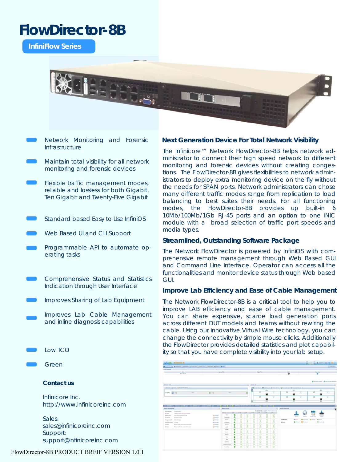# **FlowDirector-8B**

**InfiniFlow Series** 



- Network Monitoring and Forensic Infrastructure
- Maintain total visibility for all network monitoring and forensic devices
- Flexible traffic management modes, reliable and lossless for both Gigabit, Ten Gigabit and Twenty-Five Gigabit
- Standard based Easy to Use InfiniOS
- Web Based UI and CLI Support
- Programmable API to automate operating tasks
- Comprehensive Status and Statistics Indication through User Interface
- Improves Sharing of Lab Equipment
	- Improves Lab Cable Management and inline diagnosis capabilities
- Low TCO
- Green

#### **Contact us**

Infinicore Inc. http://www.infinicoreinc.com

Sales: sales@infinicoreinc.com Support: support@infinicoreinc.com

#### FlowDirector-8B PRODUCT BREIF VERSION 1.0.1

#### **Next Generation Device For Total Network Visibility**

The Infinicore™ Network FlowDirector-8B helps network administrator to connect their high speed network to different monitoring and forensic devices without creating congestions. The FlowDirector-8B gives flexibilities to network administrators to deploy extra monitoring device on the fly without the needs for SPAN ports. Network administrators can chose many different traffic modes range from replication to load balancing to best suites their needs. For all functioning modes, the FlowDirector-8B provides up built-in 6 10Mb/100Mb/1Gb RJ-45 ports and an option to one iNIC module with a broad selection of traffic port speeds and media types.

#### **Streamlined, Outstanding Software Package**

The Network FlowDirector is powered by InfiniOS with comprehensive remote management through Web Based GUI and Command Line Interface. Operator can access all the functionalities and monitor device status through Web based GUI.

#### **Improve Lab Efficiency and Ease of Cable Management**

The Network FlowDirector-8B is a critical tool to help you to improve LAB efficiency and ease of cable management. You can share expensive, scarce load generation ports across different DUT models and teams without rewiring the cable. Using our innovative Virtual Wire technology, you can change the connectivity by simple mouse clicks. Additionally the FlowDirector provides detailed statistics and plot capability so that you have complete visibility into your lab setup.

| <b>Coultre, Librarilleville, ML</b>                                                                              |                   |                           |                |   |      |                                               |                    |               |                               |                                           |                |                   |                     | <b>Bow B Avenue (0) Bond</b>      |            |
|------------------------------------------------------------------------------------------------------------------|-------------------|---------------------------|----------------|---|------|-----------------------------------------------|--------------------|---------------|-------------------------------|-------------------------------------------|----------------|-------------------|---------------------|-----------------------------------|------------|
| AND BARREL CHARGE CHARGE COMPANY AND RESIDENCE OF REAL                                                           |                   |                           |                |   |      |                                               |                    |               |                               |                                           |                |                   |                     |                                   | LC MAUTICE |
| <b>Europe Americans</b>                                                                                          |                   |                           |                |   |      |                                               |                    |               |                               |                                           |                |                   |                     |                                   |            |
| $-$                                                                                                              | <b>James Role</b> |                           |                |   |      | <b>Spring State</b>                           |                    |               |                               | Bata.                                     |                | <b>Speaker</b>    |                     |                                   |            |
| <b>Now Shope</b>                                                                                                 |                   |                           |                |   |      |                                               |                    | $\bullet$     |                               | ۰                                         |                |                   |                     |                                   |            |
|                                                                                                                  |                   |                           |                |   |      |                                               |                    |               |                               |                                           |                |                   |                     | Chiefie from  (Chief from factors |            |
| <b><i>Distant sing</i></b>                                                                                       |                   |                           |                |   |      | <b>Allega Adam</b>                            |                    |               |                               |                                           |                |                   |                     |                                   |            |
|                                                                                                                  |                   |                           |                |   |      |                                               |                    |               |                               | Gination Gibbon Cleaner, Ganance Gholman, |                |                   |                     |                                   |            |
|                                                                                                                  |                   |                           |                |   |      |                                               |                    | 488.4         |                               |                                           | says in        |                   |                     | <b>GRA</b>                        |            |
| write: <b>11 . II</b><br><b>Television</b>                                                                       | 四 日               | <b>Security</b>           |                |   |      |                                               | $\overline{1}$     | ×             | $\overline{1}$                | m                                         | 凿              | $\overline{1}$    | в                   |                                   | w          |
|                                                                                                                  |                   |                           |                |   |      |                                               | $\Box$             |               | $\overline{a}$                | ES3                                       |                | m                 | 田                   |                                   | <b>Ab</b>  |
|                                                                                                                  |                   |                           |                |   |      |                                               |                    | e             |                               |                                           | ۸              |                   |                     | 圓                                 |            |
|                                                                                                                  |                   |                           |                |   |      |                                               |                    |               |                               |                                           |                |                   |                     |                                   |            |
|                                                                                                                  |                   |                           |                |   |      |                                               |                    |               |                               |                                           | m              |                   |                     |                                   |            |
|                                                                                                                  |                   |                           |                |   |      |                                               |                    |               |                               |                                           |                |                   |                     |                                   |            |
| <b>COMPANY FROM MOVIE CONTINUES ON A</b>                                                                         |                   |                           |                |   |      | <b>E PACK INSERTIAL AND ANGEL AND A SHARE</b> |                    |               |                               |                                           |                |                   |                     |                                   |            |
|                                                                                                                  |                   | <b>MAKE HOTAL</b>         |                |   |      |                                               |                    |               |                               | <b>MAKE ANNUALIST</b>                     |                |                   |                     |                                   |            |
| <b>Contact and</b><br>Series Avenue                                                                              |                   | <b>Service</b>            |                |   | $-1$ | AGE.                                          | 4.3047472          | w.            | [8] B Poles Especial<br>40.56 |                                           |                |                   |                     |                                   |            |
| by New<br>To stay the 4 Knowledge Ref. standard PA support.<br><b>BIOTOFIE STATE STAR</b><br><b>Summer Floor</b> | <b>Different</b>  | <b>Text</b>               |                |   |      |                                               |                    | ٠             | ۰                             |                                           |                |                   |                     |                                   |            |
| Ford for an Afr<br>House Boards                                                                                  | <b>Different</b>  | <b>TRUSH AND</b>          | ۰              |   | o    | ۰                                             | ۰                  | ۰             | ۰                             |                                           | <b>Service</b> | <b>Solicity</b>   | <b>Right Labor</b>  | <b>SALES</b>                      |            |
| anti-sea list.<br>Waterprint #                                                                                   | <b>Ultimat</b>    | <b>Business</b>           |                | o | ਠ    | ठ                                             | ō                  | o             | ठ                             | Earlycolae                                | <b>Miller</b>  |                   | Officerial Official | $E$ , then if                     |            |
| <b><i><u>SEALA MARAGAN</u></i></b><br><b>TOMA</b><br>Forward Notices                                             | Gilmount          | <b>TALABER</b>            | ۰              |   | 6    | 8                                             | õ                  |               |                               | Aprilence                                 | $Q = -1$       | <b>Gilbertown</b> |                     | <b>B</b> Students                 |            |
| Room appells the business relationship<br><b>Senator</b>                                                         | 28 French         | Goods I                   | ۰              | ۰ | ö    | ö                                             | 8                  | $\frac{1}{2}$ | oo                            |                                           |                |                   |                     |                                   |            |
| Russe appelle the sering of economic<br><b>Golden</b>                                                            | <b>Skillmest</b>  | $-0.014$                  | ¢              | ۰ | ö    | $\overline{\circ}$                            | $\overline{\circ}$ | õ             | õ                             |                                           |                |                   |                     |                                   |            |
|                                                                                                                  |                   | <b>Jething</b>            | ۵              | 8 | õ    | ö                                             | ō                  | ō             | õ                             |                                           |                |                   |                     |                                   |            |
|                                                                                                                  |                   | <b>Sente</b>              | $\ddot{\circ}$ | ۰ | 6    | 8                                             | 8                  | 8             | 8                             |                                           |                |                   |                     |                                   |            |
|                                                                                                                  |                   | <b>Stand</b>              | ٥              | ۰ | ö    | ö                                             | ö                  | ਠ             | 8                             |                                           |                |                   |                     |                                   |            |
|                                                                                                                  |                   | $\sim$                    | $\bullet$      | ö | ö    | ö                                             | ö                  | ö             | ä                             |                                           |                |                   |                     |                                   |            |
|                                                                                                                  |                   | Tot:                      | ö              |   | 8    | 8                                             | s                  | 8             | ö                             |                                           |                |                   |                     |                                   |            |
|                                                                                                                  |                   | <b>Southern</b>           |                |   | ö    |                                               | ō                  | ō             | õ                             |                                           |                |                   |                     |                                   |            |
|                                                                                                                  |                   | <b>Foundation part 64</b> |                |   | ö    |                                               |                    |               | ö<br>8                        |                                           |                |                   |                     |                                   |            |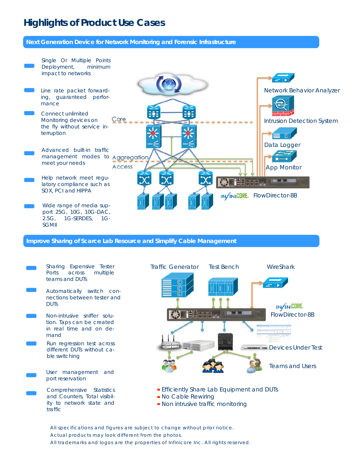# **Highlights of Product Use Cases**

#### **Next Generation Device for Network Monitoring and Forensic Infrastructure**



**Improve Sharing of Scarce Lab Resource and Simplify Cable Management** 

**DUTs** 

mand

traffic



All specifications and figures are subject to change without prior notice. Actual products may look different from the photos. All trademarks and logos are the properties of Infinicore Inc. All rights reserved.